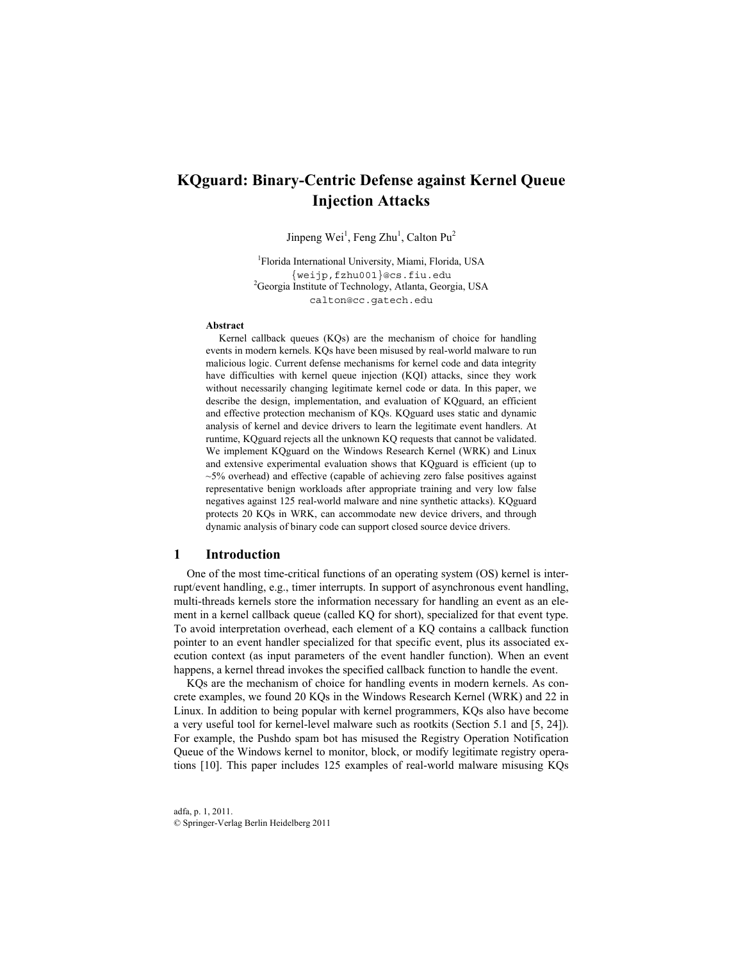# **KQguard: Binary-Centric Defense against Kernel Queue Injection Attacks**

Jinpeng Wei<sup>1</sup>, Feng Zhu<sup>1</sup>, Calton Pu<sup>2</sup>

1 Florida International University, Miami, Florida, USA {weijp,fzhu001}@cs.fiu.edu <sup>2</sup> <sup>2</sup>Georgia Institute of Technology, Atlanta, Georgia, USA calton@cc.gatech.edu

#### **Abstract**

Kernel callback queues (KQs) are the mechanism of choice for handling events in modern kernels. KQs have been misused by real-world malware to run malicious logic. Current defense mechanisms for kernel code and data integrity have difficulties with kernel queue injection (KQI) attacks, since they work without necessarily changing legitimate kernel code or data. In this paper, we describe the design, implementation, and evaluation of KQguard, an efficient and effective protection mechanism of KQs. KQguard uses static and dynamic analysis of kernel and device drivers to learn the legitimate event handlers. At runtime, KQguard rejects all the unknown KQ requests that cannot be validated. We implement KQguard on the Windows Research Kernel (WRK) and Linux and extensive experimental evaluation shows that KQguard is efficient (up to  $\sim$ 5% overhead) and effective (capable of achieving zero false positives against representative benign workloads after appropriate training and very low false negatives against 125 real-world malware and nine synthetic attacks). KQguard protects 20 KQs in WRK, can accommodate new device drivers, and through dynamic analysis of binary code can support closed source device drivers.

# **1 Introduction**

One of the most time-critical functions of an operating system (OS) kernel is interrupt/event handling, e.g., timer interrupts. In support of asynchronous event handling, multi-threads kernels store the information necessary for handling an event as an element in a kernel callback queue (called KQ for short), specialized for that event type. To avoid interpretation overhead, each element of a KQ contains a callback function pointer to an event handler specialized for that specific event, plus its associated execution context (as input parameters of the event handler function). When an event happens, a kernel thread invokes the specified callback function to handle the event.

KQs are the mechanism of choice for handling events in modern kernels. As concrete examples, we found 20 KQs in the Windows Research Kernel (WRK) and 22 in Linux. In addition to being popular with kernel programmers, KQs also have become a very useful tool for kernel-level malware such as rootkits (Section 5.1 and [5, 24]). For example, the Pushdo spam bot has misused the Registry Operation Notification Queue of the Windows kernel to monitor, block, or modify legitimate registry operations [10]. This paper includes 125 examples of real-world malware misusing KQs

adfa, p. 1, 2011. © Springer-Verlag Berlin Heidelberg 2011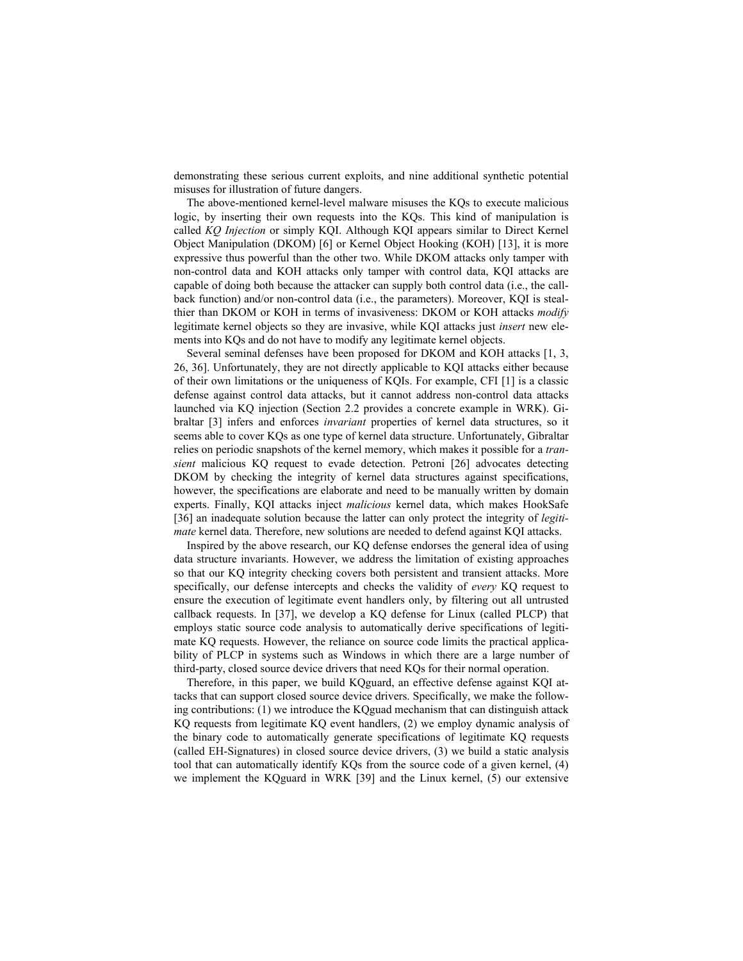demonstrating these serious current exploits, and nine additional synthetic potential misuses for illustration of future dangers.

The above-mentioned kernel-level malware misuses the KQs to execute malicious logic, by inserting their own requests into the KQs. This kind of manipulation is called *KQ Injection* or simply KQI. Although KQI appears similar to Direct Kernel Object Manipulation (DKOM) [6] or Kernel Object Hooking (KOH) [13], it is more expressive thus powerful than the other two. While DKOM attacks only tamper with non-control data and KOH attacks only tamper with control data, KQI attacks are capable of doing both because the attacker can supply both control data (i.e., the callback function) and/or non-control data (i.e., the parameters). Moreover, KQI is stealthier than DKOM or KOH in terms of invasiveness: DKOM or KOH attacks *modify* legitimate kernel objects so they are invasive, while KQI attacks just *insert* new elements into KQs and do not have to modify any legitimate kernel objects.

Several seminal defenses have been proposed for DKOM and KOH attacks [1, 3, 26, 36]. Unfortunately, they are not directly applicable to KQI attacks either because of their own limitations or the uniqueness of KQIs. For example, CFI [1] is a classic defense against control data attacks, but it cannot address non-control data attacks launched via KQ injection (Section 2.2 provides a concrete example in WRK). Gibraltar [3] infers and enforces *invariant* properties of kernel data structures, so it seems able to cover KQs as one type of kernel data structure. Unfortunately, Gibraltar relies on periodic snapshots of the kernel memory, which makes it possible for a *transient* malicious KQ request to evade detection. Petroni [26] advocates detecting DKOM by checking the integrity of kernel data structures against specifications, however, the specifications are elaborate and need to be manually written by domain experts. Finally, KQI attacks inject *malicious* kernel data, which makes HookSafe [36] an inadequate solution because the latter can only protect the integrity of *legitimate* kernel data. Therefore, new solutions are needed to defend against KQI attacks.

Inspired by the above research, our KQ defense endorses the general idea of using data structure invariants. However, we address the limitation of existing approaches so that our KQ integrity checking covers both persistent and transient attacks. More specifically, our defense intercepts and checks the validity of *every* KQ request to ensure the execution of legitimate event handlers only, by filtering out all untrusted callback requests. In [37], we develop a KQ defense for Linux (called PLCP) that employs static source code analysis to automatically derive specifications of legitimate KQ requests. However, the reliance on source code limits the practical applicability of PLCP in systems such as Windows in which there are a large number of third-party, closed source device drivers that need KQs for their normal operation.

Therefore, in this paper, we build KQguard, an effective defense against KQI attacks that can support closed source device drivers. Specifically, we make the following contributions: (1) we introduce the KQguad mechanism that can distinguish attack KQ requests from legitimate KQ event handlers, (2) we employ dynamic analysis of the binary code to automatically generate specifications of legitimate KQ requests (called EH-Signatures) in closed source device drivers, (3) we build a static analysis tool that can automatically identify KQs from the source code of a given kernel, (4) we implement the KQguard in WRK [39] and the Linux kernel, (5) our extensive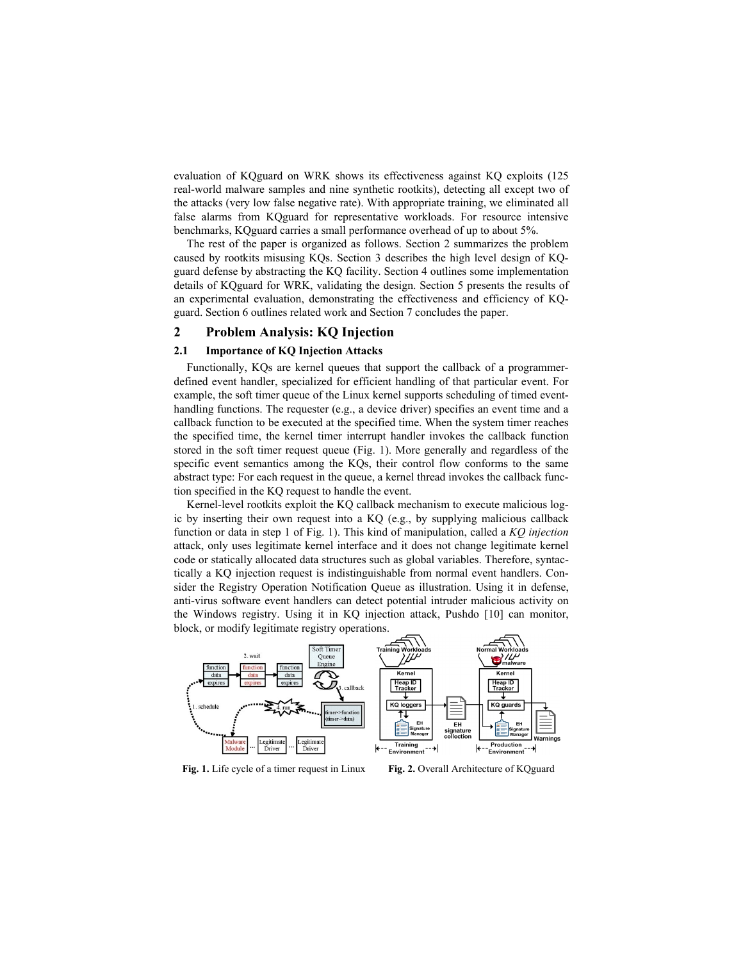evaluation of KQguard on WRK shows its effectiveness against KQ exploits (125 real-world malware samples and nine synthetic rootkits), detecting all except two of the attacks (very low false negative rate). With appropriate training, we eliminated all false alarms from KQguard for representative workloads. For resource intensive benchmarks, KQguard carries a small performance overhead of up to about 5%.

The rest of the paper is organized as follows. Section 2 summarizes the problem caused by rootkits misusing KQs. Section 3 describes the high level design of KQguard defense by abstracting the KQ facility. Section 4 outlines some implementation details of KQguard for WRK, validating the design. Section 5 presents the results of an experimental evaluation, demonstrating the effectiveness and efficiency of KQguard. Section 6 outlines related work and Section 7 concludes the paper.

# **2 Problem Analysis: KQ Injection**

## **2.1 Importance of KQ Injection Attacks**

Functionally, KQs are kernel queues that support the callback of a programmerdefined event handler, specialized for efficient handling of that particular event. For example, the soft timer queue of the Linux kernel supports scheduling of timed eventhandling functions. The requester (e.g., a device driver) specifies an event time and a callback function to be executed at the specified time. When the system timer reaches the specified time, the kernel timer interrupt handler invokes the callback function stored in the soft timer request queue (Fig. 1). More generally and regardless of the specific event semantics among the KQs, their control flow conforms to the same abstract type: For each request in the queue, a kernel thread invokes the callback function specified in the KQ request to handle the event.

Kernel-level rootkits exploit the KQ callback mechanism to execute malicious logic by inserting their own request into a KQ (e.g., by supplying malicious callback function or data in step 1 of Fig. 1). This kind of manipulation, called a *KQ injection* attack, only uses legitimate kernel interface and it does not change legitimate kernel code or statically allocated data structures such as global variables. Therefore, syntactically a KQ injection request is indistinguishable from normal event handlers. Consider the Registry Operation Notification Queue as illustration. Using it in defense, anti-virus software event handlers can detect potential intruder malicious activity on the Windows registry. Using it in KQ injection attack, Pushdo [10] can monitor, block, or modify legitimate registry operations.



**Fig. 1.** Life cycle of a timer request in Linux **Fig. 2.** Overall Architecture of KQguard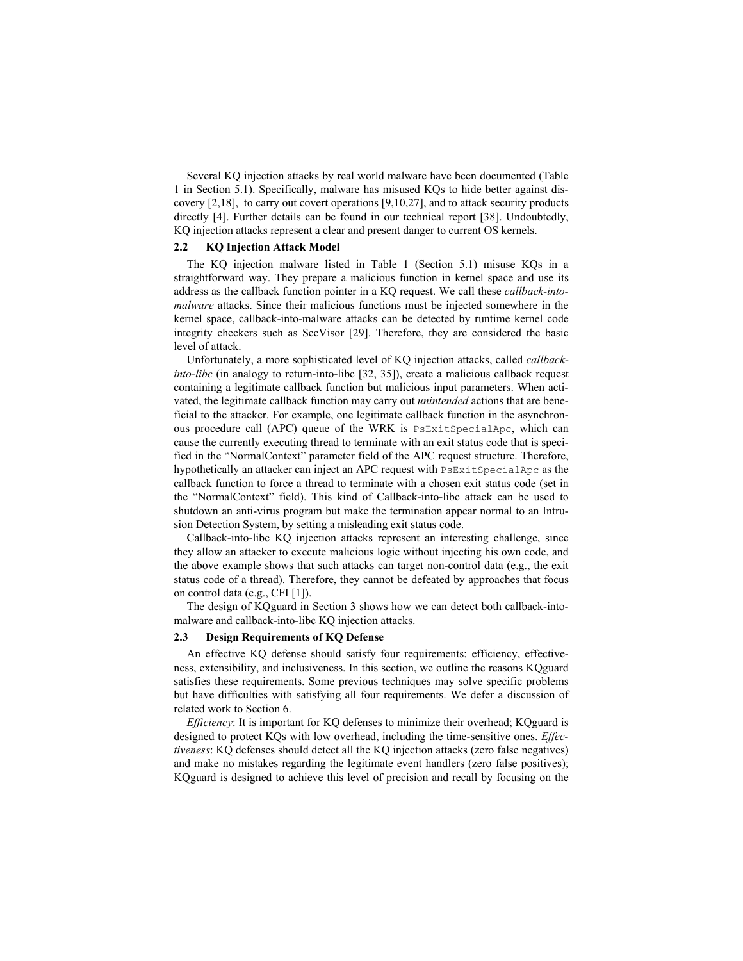Several KQ injection attacks by real world malware have been documented (Table 1 in Section 5.1). Specifically, malware has misused KQs to hide better against discovery [2,18], to carry out covert operations [9,10,27], and to attack security products directly [4]. Further details can be found in our technical report [38]. Undoubtedly, KQ injection attacks represent a clear and present danger to current OS kernels.

## **2.2 KQ Injection Attack Model**

The KQ injection malware listed in Table 1 (Section 5.1) misuse KQs in a straightforward way. They prepare a malicious function in kernel space and use its address as the callback function pointer in a KQ request. We call these *callback-intomalware* attacks. Since their malicious functions must be injected somewhere in the kernel space, callback-into-malware attacks can be detected by runtime kernel code integrity checkers such as SecVisor [29]. Therefore, they are considered the basic level of attack.

Unfortunately, a more sophisticated level of KQ injection attacks, called *callbackinto-libc* (in analogy to return-into-libc [32, 35]), create a malicious callback request containing a legitimate callback function but malicious input parameters. When activated, the legitimate callback function may carry out *unintended* actions that are beneficial to the attacker. For example, one legitimate callback function in the asynchronous procedure call (APC) queue of the WRK is PsExitSpecialApc, which can cause the currently executing thread to terminate with an exit status code that is specified in the "NormalContext" parameter field of the APC request structure. Therefore, hypothetically an attacker can inject an APC request with PsExitSpecialApc as the callback function to force a thread to terminate with a chosen exit status code (set in the "NormalContext" field). This kind of Callback-into-libc attack can be used to shutdown an anti-virus program but make the termination appear normal to an Intrusion Detection System, by setting a misleading exit status code.

Callback-into-libc KQ injection attacks represent an interesting challenge, since they allow an attacker to execute malicious logic without injecting his own code, and the above example shows that such attacks can target non-control data (e.g., the exit status code of a thread). Therefore, they cannot be defeated by approaches that focus on control data (e.g., CFI [1]).

The design of KQguard in Section 3 shows how we can detect both callback-intomalware and callback-into-libc KQ injection attacks.

#### **2.3 Design Requirements of KQ Defense**

An effective KQ defense should satisfy four requirements: efficiency, effectiveness, extensibility, and inclusiveness. In this section, we outline the reasons KQguard satisfies these requirements. Some previous techniques may solve specific problems but have difficulties with satisfying all four requirements. We defer a discussion of related work to Section 6.

*Efficiency*: It is important for KQ defenses to minimize their overhead; KQguard is designed to protect KQs with low overhead, including the time-sensitive ones. *Effectiveness*: KQ defenses should detect all the KQ injection attacks (zero false negatives) and make no mistakes regarding the legitimate event handlers (zero false positives); KQguard is designed to achieve this level of precision and recall by focusing on the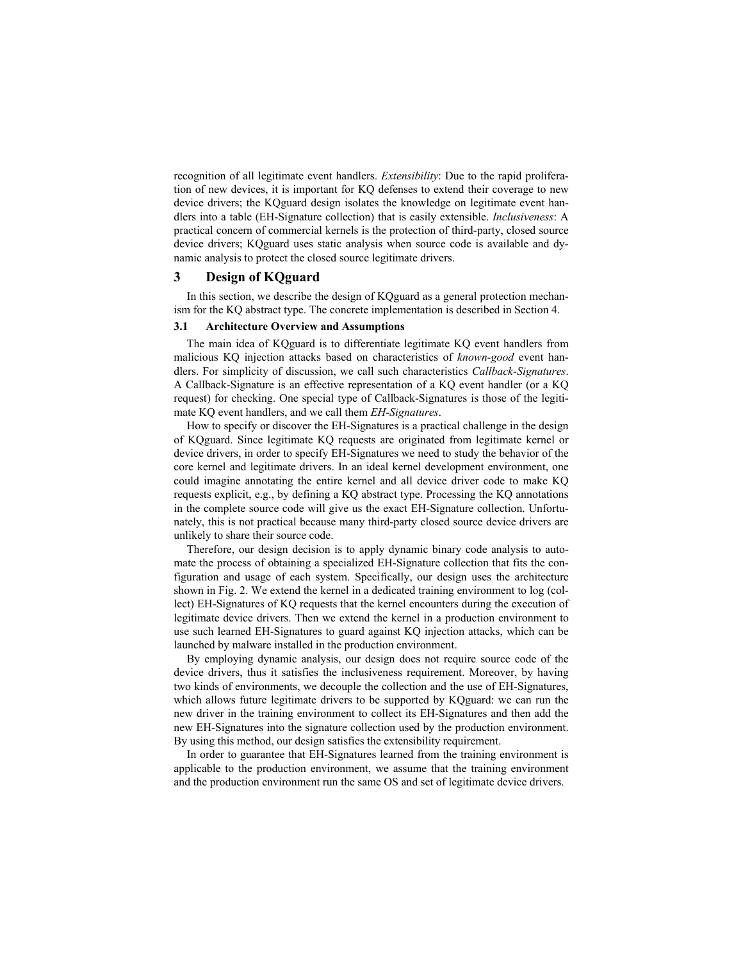recognition of all legitimate event handlers. *Extensibility*: Due to the rapid proliferation of new devices, it is important for KQ defenses to extend their coverage to new device drivers; the KQguard design isolates the knowledge on legitimate event handlers into a table (EH-Signature collection) that is easily extensible. *Inclusiveness*: A practical concern of commercial kernels is the protection of third-party, closed source device drivers; KQguard uses static analysis when source code is available and dynamic analysis to protect the closed source legitimate drivers.

## **3 Design of KQguard**

In this section, we describe the design of KQguard as a general protection mechanism for the KQ abstract type. The concrete implementation is described in Section 4.

# **3.1 Architecture Overview and Assumptions**

The main idea of KQguard is to differentiate legitimate KQ event handlers from malicious KQ injection attacks based on characteristics of *known-good* event handlers. For simplicity of discussion, we call such characteristics *Callback-Signatures*. A Callback-Signature is an effective representation of a KQ event handler (or a KQ request) for checking. One special type of Callback-Signatures is those of the legitimate KQ event handlers, and we call them *EH-Signatures*.

How to specify or discover the EH-Signatures is a practical challenge in the design of KQguard. Since legitimate KQ requests are originated from legitimate kernel or device drivers, in order to specify EH-Signatures we need to study the behavior of the core kernel and legitimate drivers. In an ideal kernel development environment, one could imagine annotating the entire kernel and all device driver code to make KQ requests explicit, e.g., by defining a KQ abstract type. Processing the KQ annotations in the complete source code will give us the exact EH-Signature collection. Unfortunately, this is not practical because many third-party closed source device drivers are unlikely to share their source code.

Therefore, our design decision is to apply dynamic binary code analysis to automate the process of obtaining a specialized EH-Signature collection that fits the configuration and usage of each system. Specifically, our design uses the architecture shown in Fig. 2. We extend the kernel in a dedicated training environment to log (collect) EH-Signatures of KQ requests that the kernel encounters during the execution of legitimate device drivers. Then we extend the kernel in a production environment to use such learned EH-Signatures to guard against KQ injection attacks, which can be launched by malware installed in the production environment.

By employing dynamic analysis, our design does not require source code of the device drivers, thus it satisfies the inclusiveness requirement. Moreover, by having two kinds of environments, we decouple the collection and the use of EH-Signatures, which allows future legitimate drivers to be supported by KQguard: we can run the new driver in the training environment to collect its EH-Signatures and then add the new EH-Signatures into the signature collection used by the production environment. By using this method, our design satisfies the extensibility requirement.

In order to guarantee that EH-Signatures learned from the training environment is applicable to the production environment, we assume that the training environment and the production environment run the same OS and set of legitimate device drivers.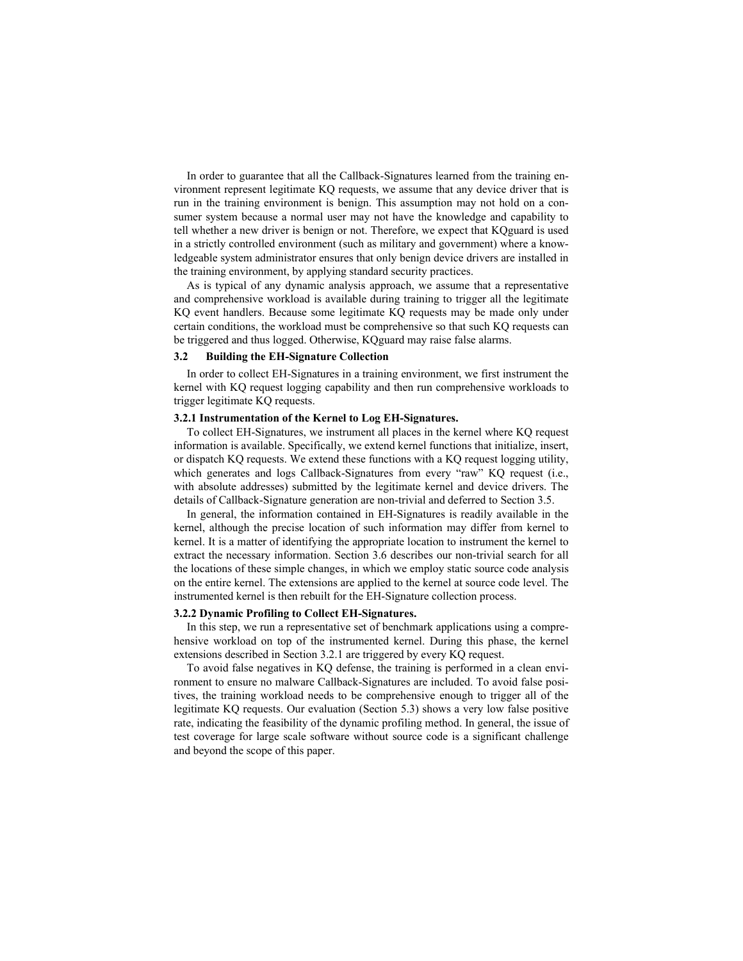In order to guarantee that all the Callback-Signatures learned from the training environment represent legitimate KQ requests, we assume that any device driver that is run in the training environment is benign. This assumption may not hold on a consumer system because a normal user may not have the knowledge and capability to tell whether a new driver is benign or not. Therefore, we expect that KQguard is used in a strictly controlled environment (such as military and government) where a knowledgeable system administrator ensures that only benign device drivers are installed in the training environment, by applying standard security practices.

As is typical of any dynamic analysis approach, we assume that a representative and comprehensive workload is available during training to trigger all the legitimate KQ event handlers. Because some legitimate KQ requests may be made only under certain conditions, the workload must be comprehensive so that such KQ requests can be triggered and thus logged. Otherwise, KQguard may raise false alarms.

#### **3.2 Building the EH-Signature Collection**

In order to collect EH-Signatures in a training environment, we first instrument the kernel with KQ request logging capability and then run comprehensive workloads to trigger legitimate KQ requests.

## **3.2.1 Instrumentation of the Kernel to Log EH-Signatures.**

To collect EH-Signatures, we instrument all places in the kernel where KQ request information is available. Specifically, we extend kernel functions that initialize, insert, or dispatch KQ requests. We extend these functions with a KQ request logging utility, which generates and logs Callback-Signatures from every "raw" KQ request (i.e., with absolute addresses) submitted by the legitimate kernel and device drivers. The details of Callback-Signature generation are non-trivial and deferred to Section 3.5.

In general, the information contained in EH-Signatures is readily available in the kernel, although the precise location of such information may differ from kernel to kernel. It is a matter of identifying the appropriate location to instrument the kernel to extract the necessary information. Section 3.6 describes our non-trivial search for all the locations of these simple changes, in which we employ static source code analysis on the entire kernel. The extensions are applied to the kernel at source code level. The instrumented kernel is then rebuilt for the EH-Signature collection process.

## **3.2.2 Dynamic Profiling to Collect EH-Signatures.**

In this step, we run a representative set of benchmark applications using a comprehensive workload on top of the instrumented kernel. During this phase, the kernel extensions described in Section 3.2.1 are triggered by every KQ request.

To avoid false negatives in KQ defense, the training is performed in a clean environment to ensure no malware Callback-Signatures are included. To avoid false positives, the training workload needs to be comprehensive enough to trigger all of the legitimate KQ requests. Our evaluation (Section 5.3) shows a very low false positive rate, indicating the feasibility of the dynamic profiling method. In general, the issue of test coverage for large scale software without source code is a significant challenge and beyond the scope of this paper.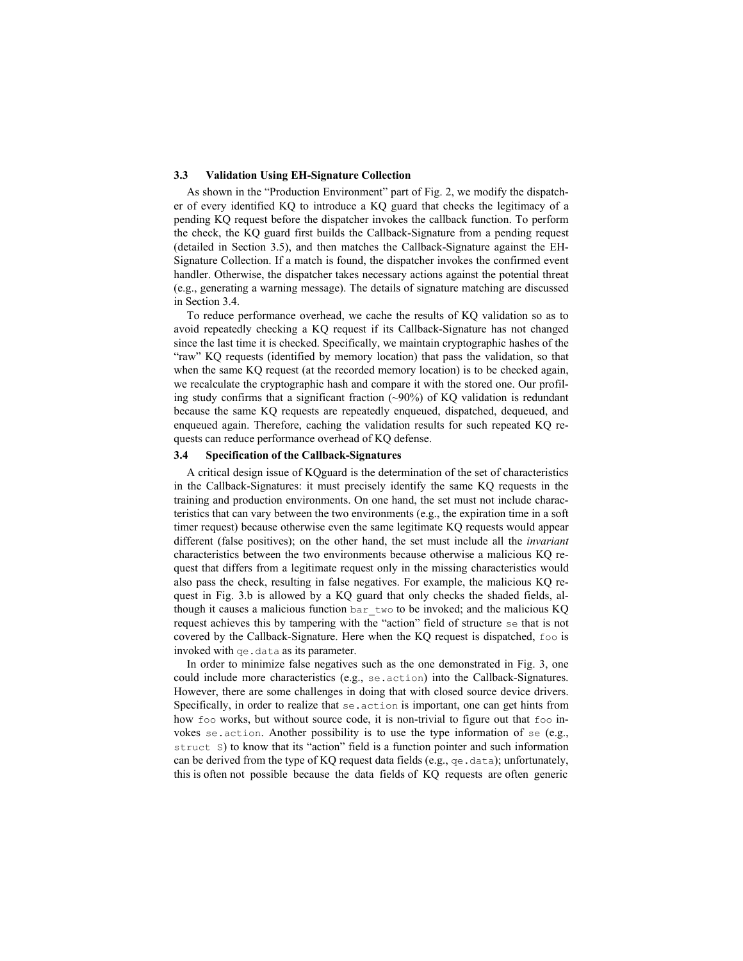#### **3.3 Validation Using EH-Signature Collection**

As shown in the "Production Environment" part of Fig. 2, we modify the dispatcher of every identified KQ to introduce a KQ guard that checks the legitimacy of a pending KQ request before the dispatcher invokes the callback function. To perform the check, the KQ guard first builds the Callback-Signature from a pending request (detailed in Section 3.5), and then matches the Callback-Signature against the EH-Signature Collection. If a match is found, the dispatcher invokes the confirmed event handler. Otherwise, the dispatcher takes necessary actions against the potential threat (e.g., generating a warning message). The details of signature matching are discussed in Section 3.4.

To reduce performance overhead, we cache the results of KQ validation so as to avoid repeatedly checking a KQ request if its Callback-Signature has not changed since the last time it is checked. Specifically, we maintain cryptographic hashes of the "raw" KQ requests (identified by memory location) that pass the validation, so that when the same KQ request (at the recorded memory location) is to be checked again, we recalculate the cryptographic hash and compare it with the stored one. Our profiling study confirms that a significant fraction  $(\sim 90\%)$  of KQ validation is redundant because the same KQ requests are repeatedly enqueued, dispatched, dequeued, and enqueued again. Therefore, caching the validation results for such repeated KQ requests can reduce performance overhead of KQ defense.

# **3.4 Specification of the Callback-Signatures**

A critical design issue of KQguard is the determination of the set of characteristics in the Callback-Signatures: it must precisely identify the same KQ requests in the training and production environments. On one hand, the set must not include characteristics that can vary between the two environments (e.g., the expiration time in a soft timer request) because otherwise even the same legitimate KQ requests would appear different (false positives); on the other hand, the set must include all the *invariant* characteristics between the two environments because otherwise a malicious KQ request that differs from a legitimate request only in the missing characteristics would also pass the check, resulting in false negatives. For example, the malicious KQ request in Fig. 3.b is allowed by a KQ guard that only checks the shaded fields, although it causes a malicious function bar\_two to be invoked; and the malicious KQ request achieves this by tampering with the "action" field of structure se that is not covered by the Callback-Signature. Here when the KQ request is dispatched,  $f \circ \circ$  is invoked with qe.data as its parameter.

In order to minimize false negatives such as the one demonstrated in Fig. 3, one could include more characteristics (e.g., se.action) into the Callback-Signatures. However, there are some challenges in doing that with closed source device drivers. Specifically, in order to realize that se.action is important, one can get hints from how foo works, but without source code, it is non-trivial to figure out that foo invokes se.action. Another possibility is to use the type information of se (e.g., struct S) to know that its "action" field is a function pointer and such information can be derived from the type of KQ request data fields (e.g.,  $qe$ . data); unfortunately, this is often not possible because the data fields of KQ requests are often generic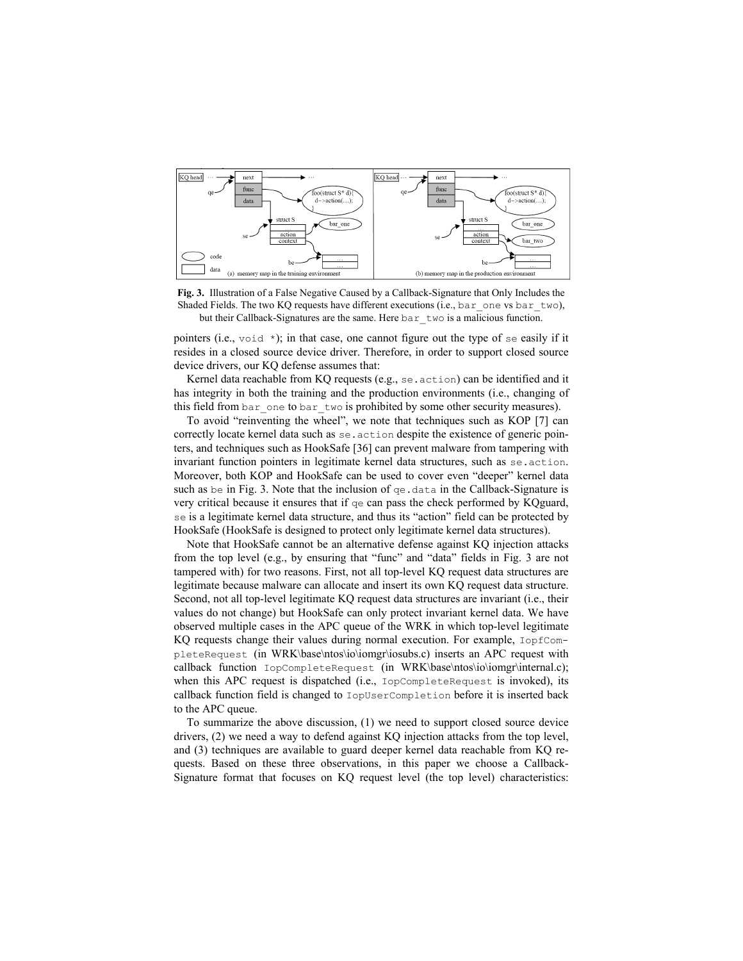

**Fig. 3.** Illustration of a False Negative Caused by a Callback-Signature that Only Includes the Shaded Fields. The two KQ requests have different executions (i.e., bar\_one vs bar\_two), but their Callback-Signatures are the same. Here bar\_two is a malicious function.

pointers (i.e.,  $\text{void } *$ ); in that case, one cannot figure out the type of se easily if it resides in a closed source device driver. Therefore, in order to support closed source device drivers, our KQ defense assumes that:

Kernel data reachable from KQ requests (e.g., se.action) can be identified and it has integrity in both the training and the production environments (i.e., changing of this field from bar one to bar two is prohibited by some other security measures).

To avoid "reinventing the wheel", we note that techniques such as KOP [7] can correctly locate kernel data such as se.action despite the existence of generic pointers, and techniques such as HookSafe [36] can prevent malware from tampering with invariant function pointers in legitimate kernel data structures, such as se.action. Moreover, both KOP and HookSafe can be used to cover even "deeper" kernel data such as be in Fig. 3. Note that the inclusion of  $q_e$ , data in the Callback-Signature is very critical because it ensures that if  $q$ e can pass the check performed by KQguard, se is a legitimate kernel data structure, and thus its "action" field can be protected by HookSafe (HookSafe is designed to protect only legitimate kernel data structures).

Note that HookSafe cannot be an alternative defense against KQ injection attacks from the top level (e.g., by ensuring that "func" and "data" fields in Fig. 3 are not tampered with) for two reasons. First, not all top-level KQ request data structures are legitimate because malware can allocate and insert its own KQ request data structure. Second, not all top-level legitimate KQ request data structures are invariant (i.e., their values do not change) but HookSafe can only protect invariant kernel data. We have observed multiple cases in the APC queue of the WRK in which top-level legitimate KQ requests change their values during normal execution. For example, IopfCompleteRequest (in WRK\base\ntos\io\iomgr\iosubs.c) inserts an APC request with callback function IopCompleteRequest (in WRK\base\ntos\io\iomgr\internal.c); when this APC request is dispatched (i.e., IopCompleteRequest is invoked), its callback function field is changed to IopUserCompletion before it is inserted back to the APC queue.

To summarize the above discussion, (1) we need to support closed source device drivers, (2) we need a way to defend against KQ injection attacks from the top level, and (3) techniques are available to guard deeper kernel data reachable from KQ requests. Based on these three observations, in this paper we choose a Callback-Signature format that focuses on KQ request level (the top level) characteristics: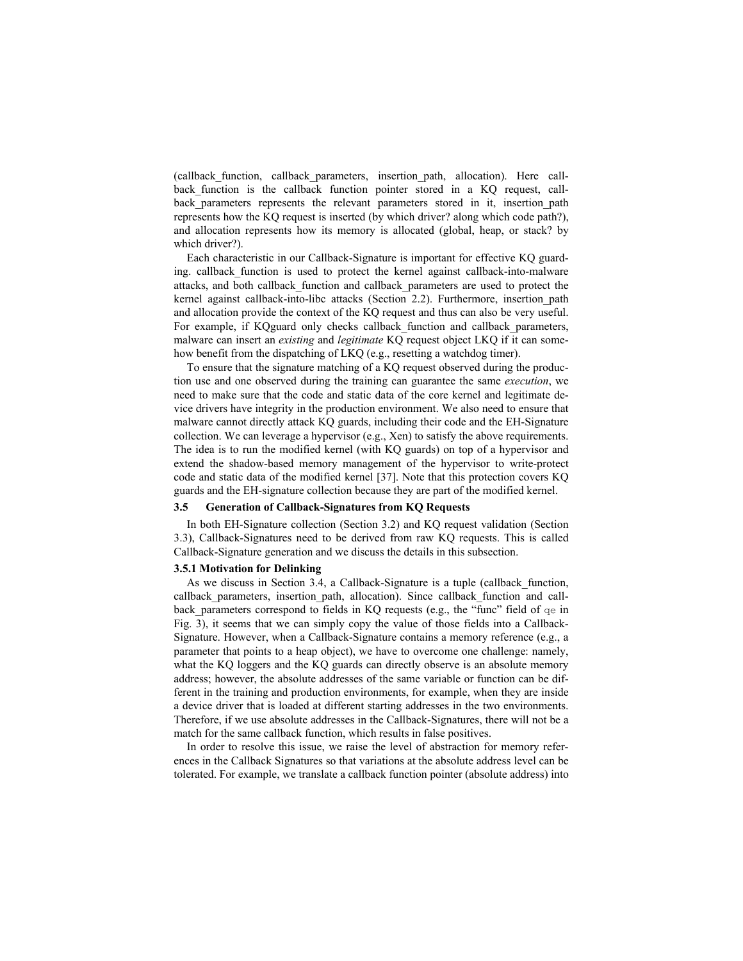(callback\_function, callback\_parameters, insertion\_path, allocation). Here callback\_function is the callback function pointer stored in a KQ request, callback parameters represents the relevant parameters stored in it, insertion path represents how the KQ request is inserted (by which driver? along which code path?), and allocation represents how its memory is allocated (global, heap, or stack? by which driver?).

Each characteristic in our Callback-Signature is important for effective KQ guarding. callback function is used to protect the kernel against callback-into-malware attacks, and both callback\_function and callback\_parameters are used to protect the kernel against callback-into-libc attacks (Section 2.2). Furthermore, insertion\_path and allocation provide the context of the KQ request and thus can also be very useful. For example, if KQguard only checks callback function and callback parameters, malware can insert an *existing* and *legitimate* KQ request object LKQ if it can somehow benefit from the dispatching of LKQ (e.g., resetting a watchdog timer).

To ensure that the signature matching of a KQ request observed during the production use and one observed during the training can guarantee the same *execution*, we need to make sure that the code and static data of the core kernel and legitimate device drivers have integrity in the production environment. We also need to ensure that malware cannot directly attack KQ guards, including their code and the EH-Signature collection. We can leverage a hypervisor (e.g., Xen) to satisfy the above requirements. The idea is to run the modified kernel (with KQ guards) on top of a hypervisor and extend the shadow-based memory management of the hypervisor to write-protect code and static data of the modified kernel [37]. Note that this protection covers KQ guards and the EH-signature collection because they are part of the modified kernel.

## **3.5 Generation of Callback-Signatures from KQ Requests**

In both EH-Signature collection (Section 3.2) and KQ request validation (Section 3.3), Callback-Signatures need to be derived from raw KQ requests. This is called Callback-Signature generation and we discuss the details in this subsection.

#### **3.5.1 Motivation for Delinking**

As we discuss in Section 3.4, a Callback-Signature is a tuple (callback function, callback\_parameters, insertion\_path, allocation). Since callback\_function and callback parameters correspond to fields in KQ requests (e.g., the "func" field of  $qe$  in Fig. 3), it seems that we can simply copy the value of those fields into a Callback-Signature. However, when a Callback-Signature contains a memory reference (e.g., a parameter that points to a heap object), we have to overcome one challenge: namely, what the KQ loggers and the KQ guards can directly observe is an absolute memory address; however, the absolute addresses of the same variable or function can be different in the training and production environments, for example, when they are inside a device driver that is loaded at different starting addresses in the two environments. Therefore, if we use absolute addresses in the Callback-Signatures, there will not be a match for the same callback function, which results in false positives.

In order to resolve this issue, we raise the level of abstraction for memory references in the Callback Signatures so that variations at the absolute address level can be tolerated. For example, we translate a callback function pointer (absolute address) into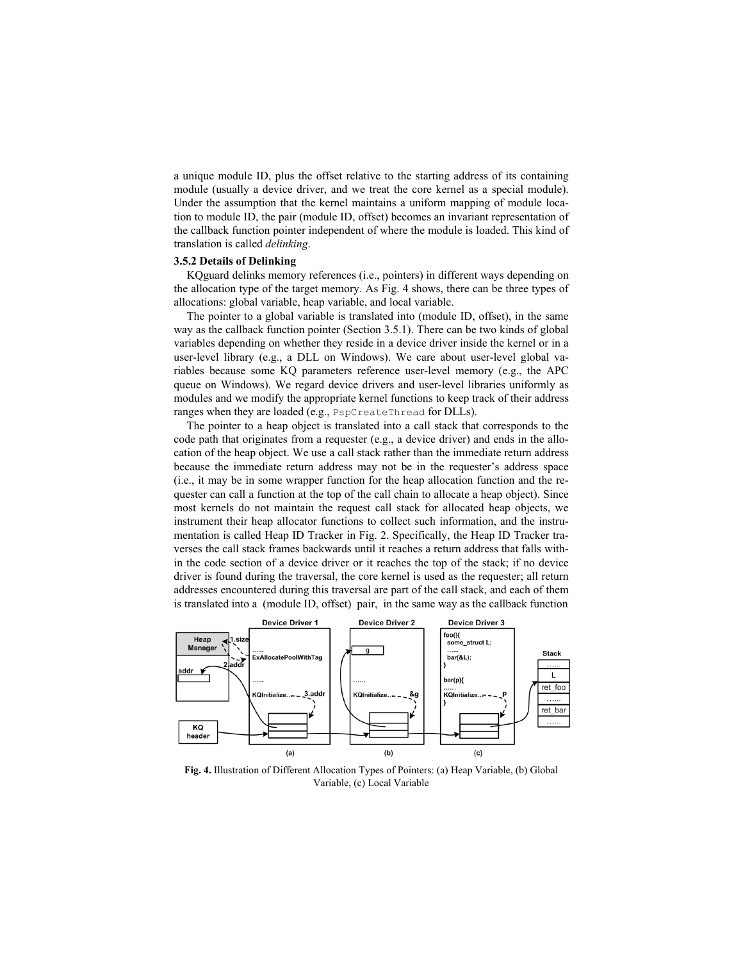a unique module ID, plus the offset relative to the starting address of its containing module (usually a device driver, and we treat the core kernel as a special module). Under the assumption that the kernel maintains a uniform mapping of module location to module ID, the pair (module ID, offset) becomes an invariant representation of the callback function pointer independent of where the module is loaded. This kind of translation is called *delinking*.

## **3.5.2 Details of Delinking**

KQguard delinks memory references (i.e., pointers) in different ways depending on the allocation type of the target memory. As Fig. 4 shows, there can be three types of allocations: global variable, heap variable, and local variable.

The pointer to a global variable is translated into (module ID, offset), in the same way as the callback function pointer (Section 3.5.1). There can be two kinds of global variables depending on whether they reside in a device driver inside the kernel or in a user-level library (e.g., a DLL on Windows). We care about user-level global variables because some KQ parameters reference user-level memory (e.g., the APC queue on Windows). We regard device drivers and user-level libraries uniformly as modules and we modify the appropriate kernel functions to keep track of their address ranges when they are loaded (e.g., PspCreateThread for DLLs).

The pointer to a heap object is translated into a call stack that corresponds to the code path that originates from a requester (e.g., a device driver) and ends in the allocation of the heap object. We use a call stack rather than the immediate return address because the immediate return address may not be in the requester's address space (i.e., it may be in some wrapper function for the heap allocation function and the requester can call a function at the top of the call chain to allocate a heap object). Since most kernels do not maintain the request call stack for allocated heap objects, we instrument their heap allocator functions to collect such information, and the instrumentation is called Heap ID Tracker in Fig. 2. Specifically, the Heap ID Tracker traverses the call stack frames backwards until it reaches a return address that falls within the code section of a device driver or it reaches the top of the stack; if no device driver is found during the traversal, the core kernel is used as the requester; all return addresses encountered during this traversal are part of the call stack, and each of them is translated into a (module ID, offset) pair, in the same way as the callback function



**Fig. 4.** Illustration of Different Allocation Types of Pointers: (a) Heap Variable, (b) Global Variable, (c) Local Variable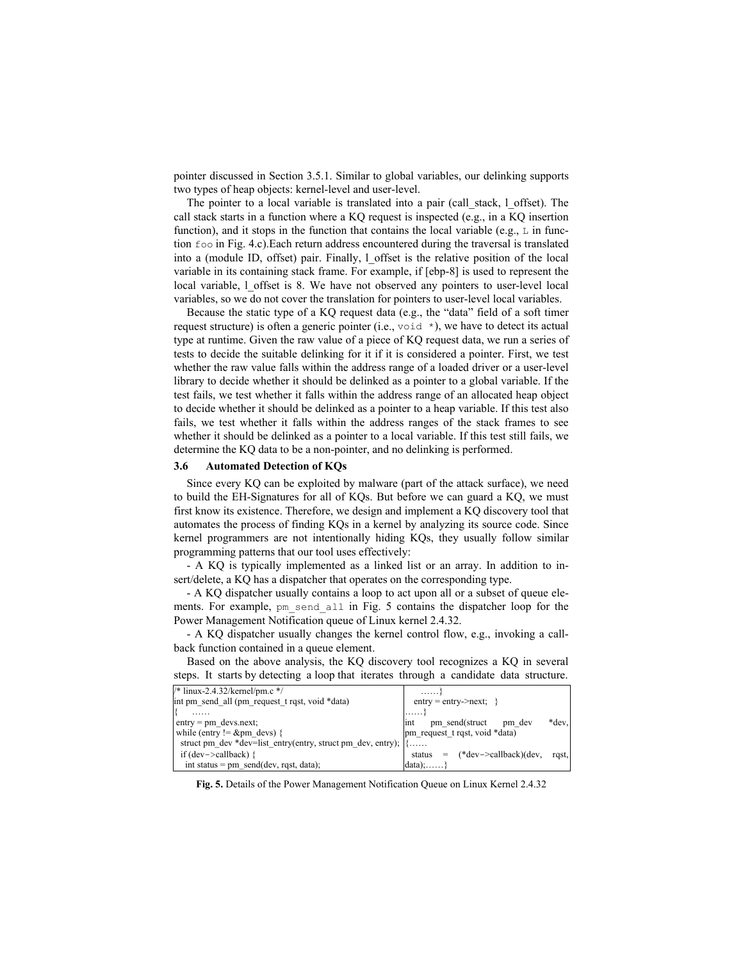pointer discussed in Section 3.5.1. Similar to global variables, our delinking supports two types of heap objects: kernel-level and user-level.

The pointer to a local variable is translated into a pair (call stack, l offset). The call stack starts in a function where a KQ request is inspected (e.g., in a KQ insertion function), and it stops in the function that contains the local variable (e.g.,  $\mathbb{L}$  in function foo in Fig. 4.c).Each return address encountered during the traversal is translated into a (module ID, offset) pair. Finally, l\_offset is the relative position of the local variable in its containing stack frame. For example, if [ebp-8] is used to represent the local variable, 1 offset is 8. We have not observed any pointers to user-level local variables, so we do not cover the translation for pointers to user-level local variables.

Because the static type of a KQ request data (e.g., the "data" field of a soft timer request structure) is often a generic pointer (i.e.,  $\text{void } *$ ), we have to detect its actual type at runtime. Given the raw value of a piece of KQ request data, we run a series of tests to decide the suitable delinking for it if it is considered a pointer. First, we test whether the raw value falls within the address range of a loaded driver or a user-level library to decide whether it should be delinked as a pointer to a global variable. If the test fails, we test whether it falls within the address range of an allocated heap object to decide whether it should be delinked as a pointer to a heap variable. If this test also fails, we test whether it falls within the address ranges of the stack frames to see whether it should be delinked as a pointer to a local variable. If this test still fails, we determine the KQ data to be a non-pointer, and no delinking is performed.

#### **3.6 Automated Detection of KQs**

Since every KQ can be exploited by malware (part of the attack surface), we need to build the EH-Signatures for all of KQs. But before we can guard a KQ, we must first know its existence. Therefore, we design and implement a KQ discovery tool that automates the process of finding KQs in a kernel by analyzing its source code. Since kernel programmers are not intentionally hiding KQs, they usually follow similar programming patterns that our tool uses effectively:

- A KQ is typically implemented as a linked list or an array. In addition to insert/delete, a KQ has a dispatcher that operates on the corresponding type.

- A KQ dispatcher usually contains a loop to act upon all or a subset of queue elements. For example, pm\_send\_all in Fig. 5 contains the dispatcher loop for the Power Management Notification queue of Linux kernel 2.4.32.

- A KQ dispatcher usually changes the kernel control flow, e.g., invoking a callback function contained in a queue element.

Based on the above analysis, the KQ discovery tool recognizes a KQ in several steps. It starts by detecting a loop that iterates through a candidate data structure.

| /* linux-2.4.32/kernel/pm.c */                                            | .                                            |  |  |
|---------------------------------------------------------------------------|----------------------------------------------|--|--|
| int pm_send_all (pm_request_t rqst, void *data)                           | entry = entry->next; $\}$                    |  |  |
|                                                                           | .                                            |  |  |
| $entry = pm$ devs.next;                                                   | pm send(struct<br>*dev.<br>pm dev<br>ınt     |  |  |
| while (entry != $\±$ devs) {                                              | pm request t rqst, void *data)               |  |  |
| struct pm dev *dev=list entry(entry, struct pm dev, entry); $\frac{1}{2}$ |                                              |  |  |
| if (dev- $>$ callback) {                                                  | $=$ (*dev->callback)(dev,<br>rgst,<br>status |  |  |
| int status = $pm$ send(dev, rgst, data);                                  | $data)$ :                                    |  |  |

**Fig. 5.** Details of the Power Management Notification Queue on Linux Kernel 2.4.32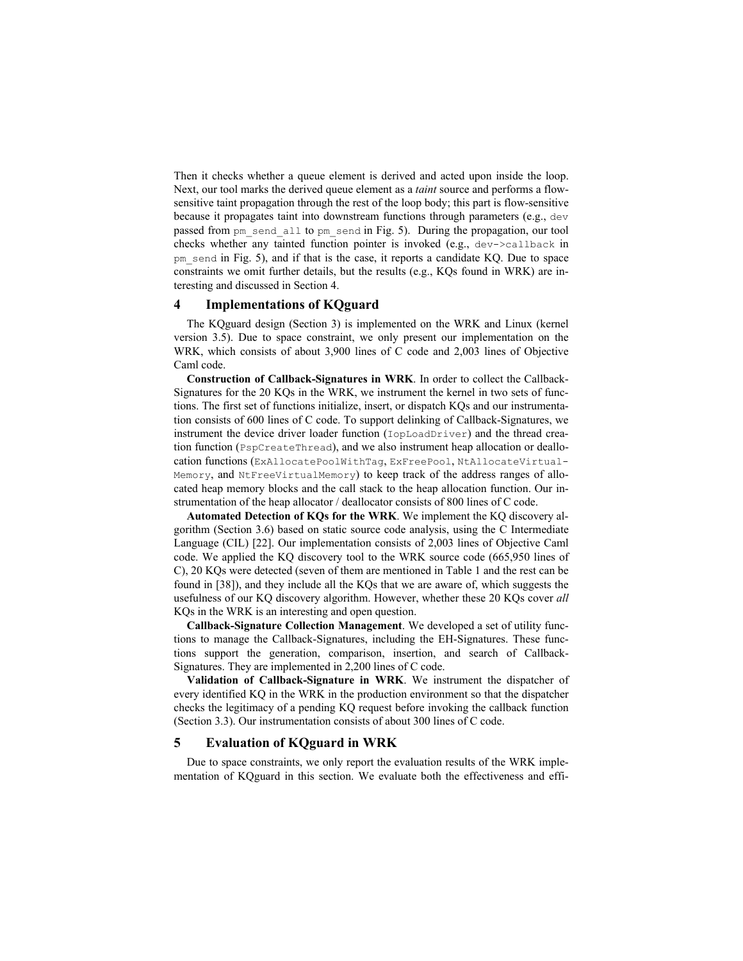Then it checks whether a queue element is derived and acted upon inside the loop. Next, our tool marks the derived queue element as a *taint* source and performs a flowsensitive taint propagation through the rest of the loop body; this part is flow-sensitive because it propagates taint into downstream functions through parameters (e.g., dev passed from pm\_send\_all to pm\_send in Fig. 5). During the propagation, our tool checks whether any tainted function pointer is invoked (e.g., dev->callback in pm\_send in Fig. 5), and if that is the case, it reports a candidate KQ. Due to space constraints we omit further details, but the results (e.g., KQs found in WRK) are interesting and discussed in Section 4.

# **4 Implementations of KQguard**

The KQguard design (Section 3) is implemented on the WRK and Linux (kernel version 3.5). Due to space constraint, we only present our implementation on the WRK, which consists of about 3,900 lines of C code and 2,003 lines of Objective Caml code.

**Construction of Callback-Signatures in WRK**. In order to collect the Callback-Signatures for the 20 KQs in the WRK, we instrument the kernel in two sets of functions. The first set of functions initialize, insert, or dispatch KQs and our instrumentation consists of 600 lines of C code. To support delinking of Callback-Signatures, we instrument the device driver loader function (IopLoadDriver) and the thread creation function (PspCreateThread), and we also instrument heap allocation or deallocation functions (ExAllocatePoolWithTag, ExFreePool, NtAllocateVirtual-Memory, and NtFreeVirtualMemory) to keep track of the address ranges of allocated heap memory blocks and the call stack to the heap allocation function. Our instrumentation of the heap allocator / deallocator consists of 800 lines of C code.

**Automated Detection of KQs for the WRK**. We implement the KQ discovery algorithm (Section 3.6) based on static source code analysis, using the C Intermediate Language (CIL) [22]. Our implementation consists of 2,003 lines of Objective Caml code. We applied the KQ discovery tool to the WRK source code (665,950 lines of C), 20 KQs were detected (seven of them are mentioned in Table 1 and the rest can be found in [38]), and they include all the KQs that we are aware of, which suggests the usefulness of our KQ discovery algorithm. However, whether these 20 KQs cover *all* KQs in the WRK is an interesting and open question.

**Callback-Signature Collection Management**. We developed a set of utility functions to manage the Callback-Signatures, including the EH-Signatures. These functions support the generation, comparison, insertion, and search of Callback-Signatures. They are implemented in 2,200 lines of C code.

**Validation of Callback-Signature in WRK**. We instrument the dispatcher of every identified KQ in the WRK in the production environment so that the dispatcher checks the legitimacy of a pending KQ request before invoking the callback function (Section 3.3). Our instrumentation consists of about 300 lines of C code.

## **5 Evaluation of KQguard in WRK**

Due to space constraints, we only report the evaluation results of the WRK implementation of KQguard in this section. We evaluate both the effectiveness and effi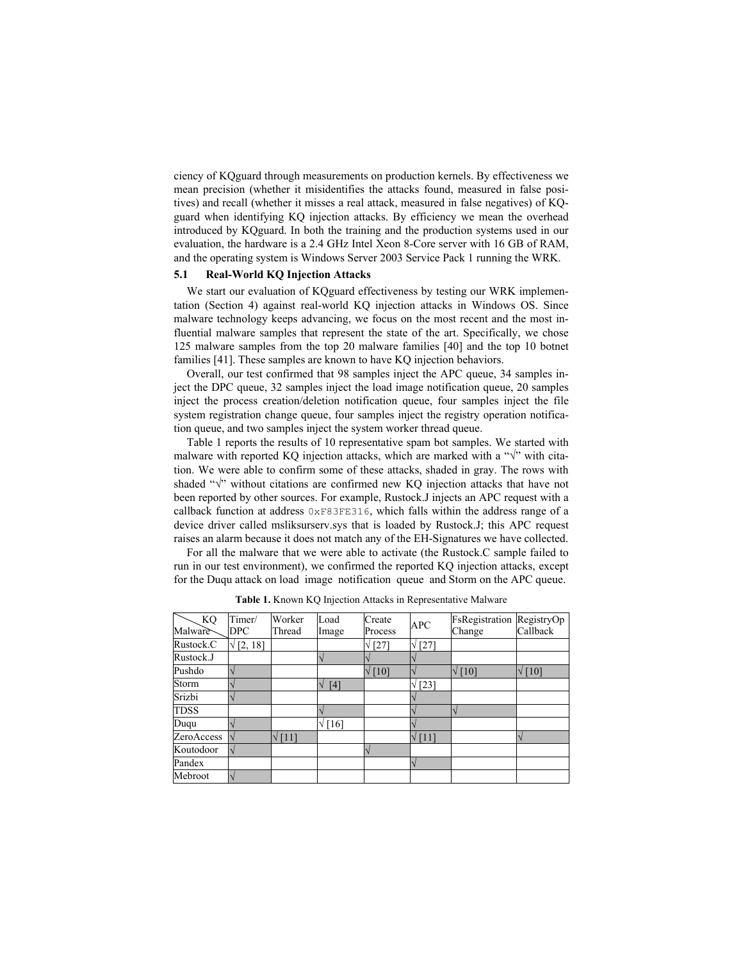ciency of KQguard through measurements on production kernels. By effectiveness we mean precision (whether it misidentifies the attacks found, measured in false positives) and recall (whether it misses a real attack, measured in false negatives) of KQguard when identifying KQ injection attacks. By efficiency we mean the overhead introduced by KQguard. In both the training and the production systems used in our evaluation, the hardware is a 2.4 GHz Intel Xeon 8-Core server with 16 GB of RAM, and the operating system is Windows Server 2003 Service Pack 1 running the WRK.

#### **5.1 Real-World KQ Injection Attacks**

We start our evaluation of KQguard effectiveness by testing our WRK implementation (Section 4) against real-world KQ injection attacks in Windows OS. Since malware technology keeps advancing, we focus on the most recent and the most influential malware samples that represent the state of the art. Specifically, we chose 125 malware samples from the top 20 malware families [40] and the top 10 botnet families [41]. These samples are known to have KQ injection behaviors.

Overall, our test confirmed that 98 samples inject the APC queue, 34 samples inject the DPC queue, 32 samples inject the load image notification queue, 20 samples inject the process creation/deletion notification queue, four samples inject the file system registration change queue, four samples inject the registry operation notification queue, and two samples inject the system worker thread queue.

Table 1 reports the results of 10 representative spam bot samples. We started with malware with reported KO injection attacks, which are marked with a " $\sqrt{$ " with citation. We were able to confirm some of these attacks, shaded in gray. The rows with shaded " $\sqrt{ }$ " without citations are confirmed new KO injection attacks that have not been reported by other sources. For example, Rustock.J injects an APC request with a callback function at address  $0 \times F83FE316$ , which falls within the address range of a device driver called msliksurserv.sys that is loaded by Rustock.J; this APC request raises an alarm because it does not match any of the EH-Signatures we have collected.

For all the malware that we were able to activate (the Rustock.C sample failed to run in our test environment), we confirmed the reported KQ injection attacks, except for the Duqu attack on load image notification queue and Storm on the APC queue.

| KQ          | Timer/<br><b>DPC</b> | Worker | Load        | Create      | <b>APC</b>   | FsRegistration | RegistryOp<br>Callback |
|-------------|----------------------|--------|-------------|-------------|--------------|----------------|------------------------|
| Malware     |                      | Thread | Image       | Process     |              | Change         |                        |
| Rustock.C   | [2, 18]              |        |             | [27]        | $[27]$<br>V  |                |                        |
| Rustock.J   |                      |        |             |             |              |                |                        |
| Pushdo      |                      |        |             | $\sqrt{10}$ |              | $\sqrt{10}$    | $\sqrt{10}$            |
| Storm       |                      |        | [4]<br>V    |             | $\sqrt{23}$  |                |                        |
| Srizbi      |                      |        |             |             |              |                |                        |
| <b>TDSS</b> |                      |        |             |             |              |                |                        |
| Duqu        |                      |        | $\sqrt{16}$ |             |              |                |                        |
| ZeroAccess  |                      | [11]   |             |             | $\sqrt{111}$ |                |                        |
| Koutodoor   |                      |        |             |             |              |                |                        |
| Pandex      |                      |        |             |             |              |                |                        |
| Mebroot     |                      |        |             |             |              |                |                        |

**Table 1.** Known KQ Injection Attacks in Representative Malware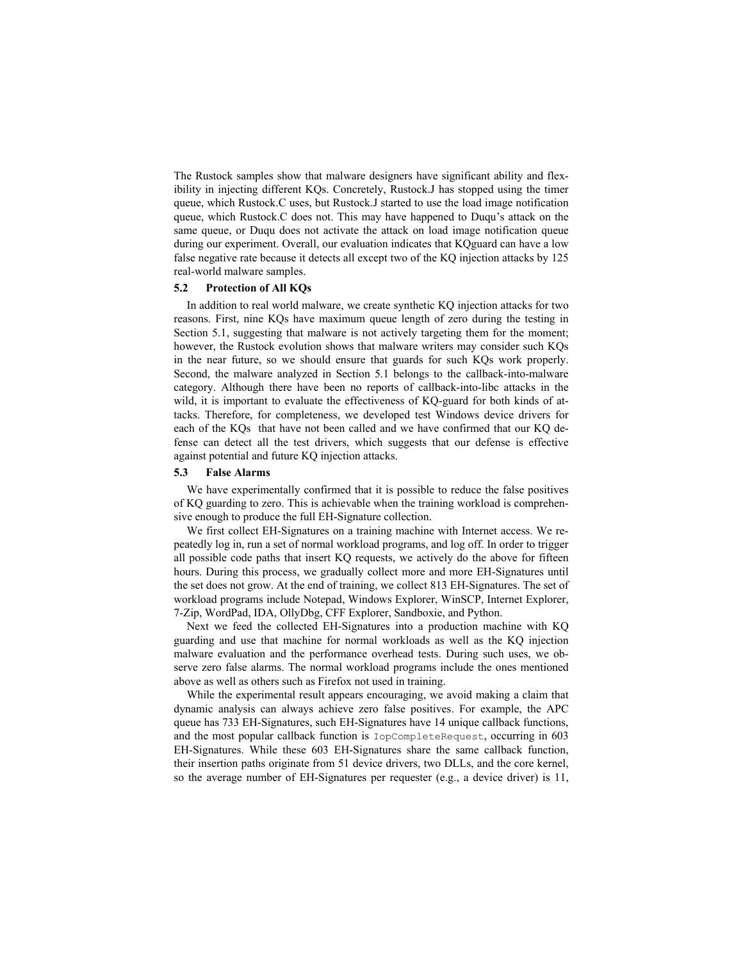The Rustock samples show that malware designers have significant ability and flexibility in injecting different KQs. Concretely, Rustock.J has stopped using the timer queue, which Rustock.C uses, but Rustock.J started to use the load image notification queue, which Rustock.C does not. This may have happened to Duqu's attack on the same queue, or Duqu does not activate the attack on load image notification queue during our experiment. Overall, our evaluation indicates that KQguard can have a low false negative rate because it detects all except two of the KQ injection attacks by 125 real-world malware samples.

#### **5.2 Protection of All KQs**

In addition to real world malware, we create synthetic KQ injection attacks for two reasons. First, nine KQs have maximum queue length of zero during the testing in Section 5.1, suggesting that malware is not actively targeting them for the moment; however, the Rustock evolution shows that malware writers may consider such KQs in the near future, so we should ensure that guards for such KQs work properly. Second, the malware analyzed in Section 5.1 belongs to the callback-into-malware category. Although there have been no reports of callback-into-libc attacks in the wild, it is important to evaluate the effectiveness of KQ-guard for both kinds of attacks. Therefore, for completeness, we developed test Windows device drivers for each of the KQs that have not been called and we have confirmed that our KQ defense can detect all the test drivers, which suggests that our defense is effective against potential and future KQ injection attacks.

## **5.3 False Alarms**

We have experimentally confirmed that it is possible to reduce the false positives of KQ guarding to zero. This is achievable when the training workload is comprehensive enough to produce the full EH-Signature collection.

We first collect EH-Signatures on a training machine with Internet access. We repeatedly log in, run a set of normal workload programs, and log off. In order to trigger all possible code paths that insert KQ requests, we actively do the above for fifteen hours. During this process, we gradually collect more and more EH-Signatures until the set does not grow. At the end of training, we collect 813 EH-Signatures. The set of workload programs include Notepad, Windows Explorer, WinSCP, Internet Explorer, 7-Zip, WordPad, IDA, OllyDbg, CFF Explorer, Sandboxie, and Python.

Next we feed the collected EH-Signatures into a production machine with KQ guarding and use that machine for normal workloads as well as the KQ injection malware evaluation and the performance overhead tests. During such uses, we observe zero false alarms. The normal workload programs include the ones mentioned above as well as others such as Firefox not used in training.

While the experimental result appears encouraging, we avoid making a claim that dynamic analysis can always achieve zero false positives. For example, the APC queue has 733 EH-Signatures, such EH-Signatures have 14 unique callback functions, and the most popular callback function is IopCompleteRequest, occurring in 603 EH-Signatures. While these 603 EH-Signatures share the same callback function, their insertion paths originate from 51 device drivers, two DLLs, and the core kernel, so the average number of EH-Signatures per requester (e.g., a device driver) is 11,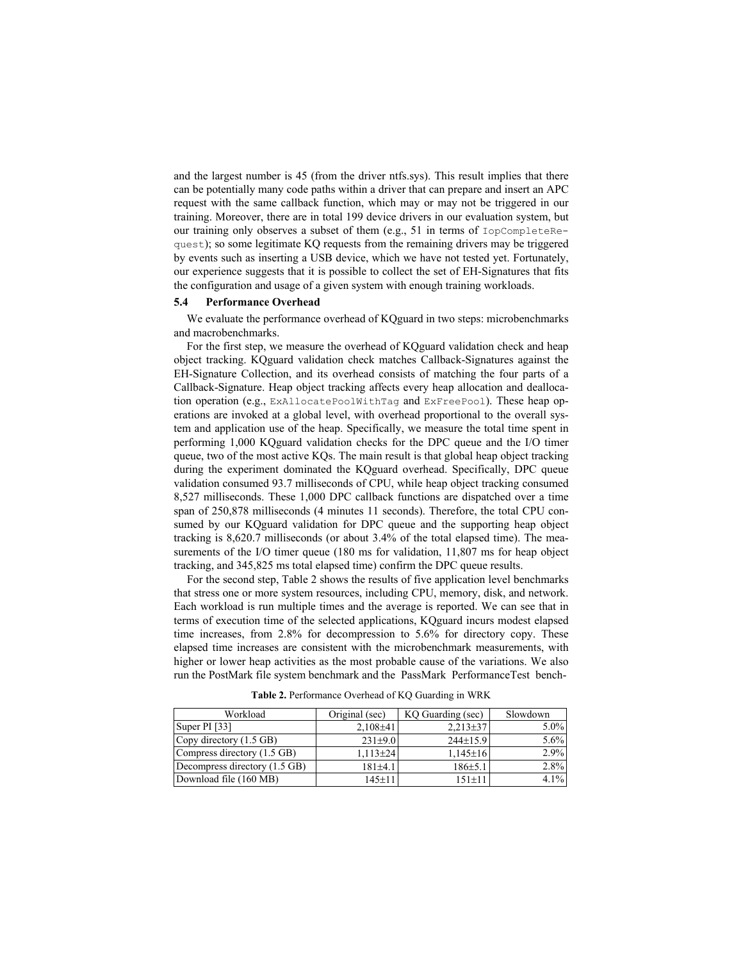and the largest number is 45 (from the driver ntfs.sys). This result implies that there can be potentially many code paths within a driver that can prepare and insert an APC request with the same callback function, which may or may not be triggered in our training. Moreover, there are in total 199 device drivers in our evaluation system, but our training only observes a subset of them  $(e.g., 51$  in terms of  $IopCompleteRe$ quest); so some legitimate KQ requests from the remaining drivers may be triggered by events such as inserting a USB device, which we have not tested yet. Fortunately, our experience suggests that it is possible to collect the set of EH-Signatures that fits the configuration and usage of a given system with enough training workloads.

# **5.4 Performance Overhead**

We evaluate the performance overhead of KQguard in two steps: microbenchmarks and macrobenchmarks.

For the first step, we measure the overhead of KQguard validation check and heap object tracking. KQguard validation check matches Callback-Signatures against the EH-Signature Collection, and its overhead consists of matching the four parts of a Callback-Signature. Heap object tracking affects every heap allocation and deallocation operation (e.g., ExAllocatePoolWithTag and ExFreePool). These heap operations are invoked at a global level, with overhead proportional to the overall system and application use of the heap. Specifically, we measure the total time spent in performing 1,000 KQguard validation checks for the DPC queue and the I/O timer queue, two of the most active KQs. The main result is that global heap object tracking during the experiment dominated the KQguard overhead. Specifically, DPC queue validation consumed 93.7 milliseconds of CPU, while heap object tracking consumed 8,527 milliseconds. These 1,000 DPC callback functions are dispatched over a time span of 250,878 milliseconds (4 minutes 11 seconds). Therefore, the total CPU consumed by our KQguard validation for DPC queue and the supporting heap object tracking is 8,620.7 milliseconds (or about 3.4% of the total elapsed time). The measurements of the I/O timer queue (180 ms for validation, 11,807 ms for heap object tracking, and 345,825 ms total elapsed time) confirm the DPC queue results.

For the second step, Table 2 shows the results of five application level benchmarks that stress one or more system resources, including CPU, memory, disk, and network. Each workload is run multiple times and the average is reported. We can see that in terms of execution time of the selected applications, KQguard incurs modest elapsed time increases, from 2.8% for decompression to 5.6% for directory copy. These elapsed time increases are consistent with the microbenchmark measurements, with higher or lower heap activities as the most probable cause of the variations. We also run the PostMark file system benchmark and the PassMark PerformanceTest bench-

| Workload                      | Original (sec) | KQ Guarding (sec) | Slowdown |
|-------------------------------|----------------|-------------------|----------|
| Super PI [33]                 | $2,108\pm41$   | $2,213\pm37$      | $5.0\%$  |
| Copy directory (1.5 GB)       | $231 \pm 9.0$  | $244+15.9$        | 5.6%     |
| Compress directory (1.5 GB)   | $1.113 \pm 24$ | $1,145 \pm 16$    | 2.9%     |
| Decompress directory (1.5 GB) | 181±4.1        | 186±5.1           | 2.8%     |
| Download file (160 MB)        | 145±11         | $151 \pm 11$      | 4.1%     |

**Table 2.** Performance Overhead of KQ Guarding in WRK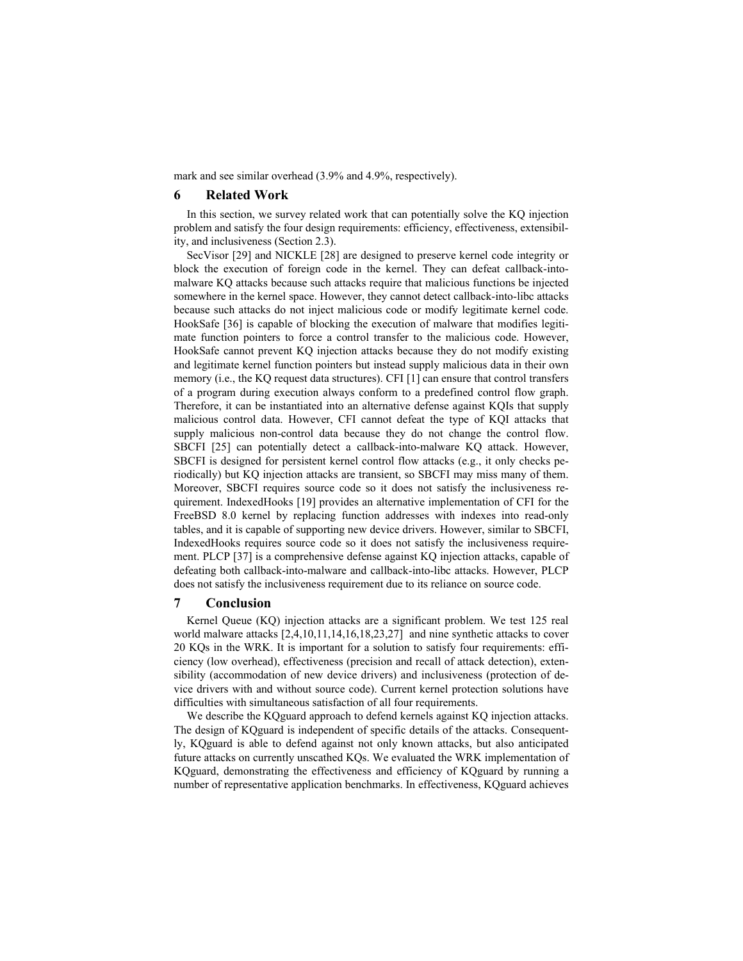mark and see similar overhead (3.9% and 4.9%, respectively).

#### **6 Related Work**

In this section, we survey related work that can potentially solve the KQ injection problem and satisfy the four design requirements: efficiency, effectiveness, extensibility, and inclusiveness (Section 2.3).

SecVisor [29] and NICKLE [28] are designed to preserve kernel code integrity or block the execution of foreign code in the kernel. They can defeat callback-intomalware KQ attacks because such attacks require that malicious functions be injected somewhere in the kernel space. However, they cannot detect callback-into-libc attacks because such attacks do not inject malicious code or modify legitimate kernel code. HookSafe [36] is capable of blocking the execution of malware that modifies legitimate function pointers to force a control transfer to the malicious code. However, HookSafe cannot prevent KQ injection attacks because they do not modify existing and legitimate kernel function pointers but instead supply malicious data in their own memory (i.e., the KQ request data structures). CFI [1] can ensure that control transfers of a program during execution always conform to a predefined control flow graph. Therefore, it can be instantiated into an alternative defense against KQIs that supply malicious control data. However, CFI cannot defeat the type of KQI attacks that supply malicious non-control data because they do not change the control flow. SBCFI [25] can potentially detect a callback-into-malware KQ attack. However, SBCFI is designed for persistent kernel control flow attacks (e.g., it only checks periodically) but KQ injection attacks are transient, so SBCFI may miss many of them. Moreover, SBCFI requires source code so it does not satisfy the inclusiveness requirement. IndexedHooks [19] provides an alternative implementation of CFI for the FreeBSD 8.0 kernel by replacing function addresses with indexes into read-only tables, and it is capable of supporting new device drivers. However, similar to SBCFI, IndexedHooks requires source code so it does not satisfy the inclusiveness requirement. PLCP [37] is a comprehensive defense against KQ injection attacks, capable of defeating both callback-into-malware and callback-into-libc attacks. However, PLCP does not satisfy the inclusiveness requirement due to its reliance on source code.

# **7 Conclusion**

Kernel Queue (KQ) injection attacks are a significant problem. We test 125 real world malware attacks [2,4,10,11,14,16,18,23,27] and nine synthetic attacks to cover 20 KQs in the WRK. It is important for a solution to satisfy four requirements: efficiency (low overhead), effectiveness (precision and recall of attack detection), extensibility (accommodation of new device drivers) and inclusiveness (protection of device drivers with and without source code). Current kernel protection solutions have difficulties with simultaneous satisfaction of all four requirements.

We describe the KQguard approach to defend kernels against KQ injection attacks. The design of KQguard is independent of specific details of the attacks. Consequently, KQguard is able to defend against not only known attacks, but also anticipated future attacks on currently unscathed KQs. We evaluated the WRK implementation of KQguard, demonstrating the effectiveness and efficiency of KQguard by running a number of representative application benchmarks. In effectiveness, KQguard achieves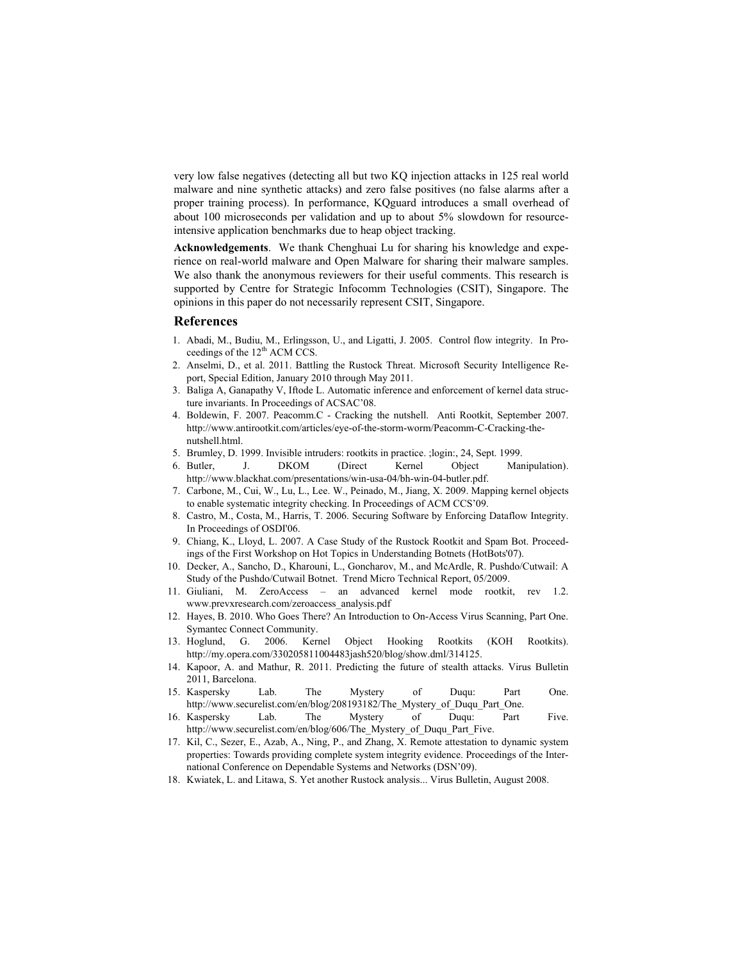very low false negatives (detecting all but two KQ injection attacks in 125 real world malware and nine synthetic attacks) and zero false positives (no false alarms after a proper training process). In performance, KQguard introduces a small overhead of about 100 microseconds per validation and up to about 5% slowdown for resourceintensive application benchmarks due to heap object tracking.

**Acknowledgements**. We thank Chenghuai Lu for sharing his knowledge and experience on real-world malware and Open Malware for sharing their malware samples. We also thank the anonymous reviewers for their useful comments. This research is supported by Centre for Strategic Infocomm Technologies (CSIT), Singapore. The opinions in this paper do not necessarily represent CSIT, Singapore.

# **References**

- 1. Abadi, M., Budiu, M., Erlingsson, U., and Ligatti, J. 2005. Control flow integrity. In Proceedings of the  $12<sup>th</sup>$  ACM CCS.
- 2. Anselmi, D., et al. 2011. Battling the Rustock Threat. Microsoft Security Intelligence Report, Special Edition, January 2010 through May 2011.
- 3. Baliga A, Ganapathy V, Iftode L. Automatic inference and enforcement of kernel data structure invariants. In Proceedings of ACSAC'08.
- 4. Boldewin, F. 2007. Peacomm.C Cracking the nutshell. Anti Rootkit, September 2007. http://www.antirootkit.com/articles/eye-of-the-storm-worm/Peacomm-C-Cracking-thenutshell.html.
- 5. Brumley, D. 1999. Invisible intruders: rootkits in practice. ;login:, 24, Sept. 1999.
- 6. Butler, J. DKOM (Direct Kernel Object Manipulation). http://www.blackhat.com/presentations/win-usa-04/bh-win-04-butler.pdf.
- 7. Carbone, M., Cui, W., Lu, L., Lee. W., Peinado, M., Jiang, X. 2009. Mapping kernel objects to enable systematic integrity checking. In Proceedings of ACM CCS'09.
- 8. Castro, M., Costa, M., Harris, T. 2006. Securing Software by Enforcing Dataflow Integrity. In Proceedings of OSDI'06.
- 9. Chiang, K., Lloyd, L. 2007. A Case Study of the Rustock Rootkit and Spam Bot. Proceedings of the First Workshop on Hot Topics in Understanding Botnets (HotBots'07).
- 10. Decker, A., Sancho, D., Kharouni, L., Goncharov, M., and McArdle, R. Pushdo/Cutwail: A Study of the Pushdo/Cutwail Botnet. Trend Micro Technical Report, 05/2009.
- 11. Giuliani, M. ZeroAccess an advanced kernel mode rootkit, rev 1.2. www.prevxresearch.com/zeroaccess\_analysis.pdf
- 12. Hayes, B. 2010. Who Goes There? An Introduction to On-Access Virus Scanning, Part One. Symantec Connect Community.
- 13. Hoglund, G. 2006. Kernel Object Hooking Rootkits (KOH Rootkits). http://my.opera.com/330205811004483jash520/blog/show.dml/314125.
- 14. Kapoor, A. and Mathur, R. 2011. Predicting the future of stealth attacks. Virus Bulletin 2011, Barcelona.
- 15. Kaspersky Lab. The Mystery of Duqu: Part One. http://www.securelist.com/en/blog/208193182/The\_Mystery\_of\_Duqu\_Part\_One.
- 16. Kaspersky Lab. The Mystery of Duqu: Part Five. http://www.securelist.com/en/blog/606/The\_Mystery\_of\_Duqu\_Part\_Five.
- 17. Kil, C., Sezer, E., Azab, A., Ning, P., and Zhang, X. Remote attestation to dynamic system properties: Towards providing complete system integrity evidence. Proceedings of the International Conference on Dependable Systems and Networks (DSN'09).
- 18. Kwiatek, L. and Litawa, S. Yet another Rustock analysis... Virus Bulletin, August 2008.